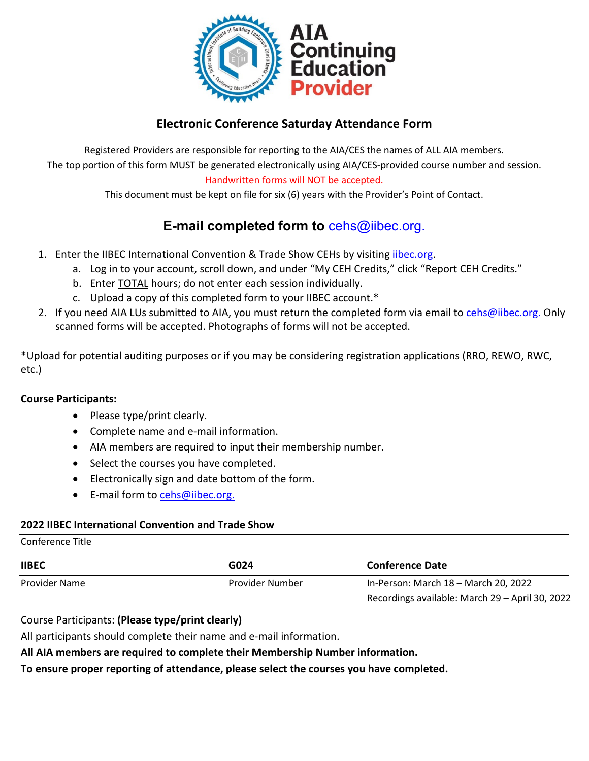

# **Electronic Conference Saturday Attendance Form**

Registered Providers are responsible for reporting to the AIA/CES the names of ALL AIA members. The top portion of this form MUST be generated electronically using AIA/CES-provided course number and session. Handwritten forms will NOT be accepted.

This document must be kept on file for six (6) years with the Provider's Point of Contact.

# **E-mail completed form to** [cehs@iibec.org.](mailto:cehs@iibec.org)

- 1. Enter the IIBEC International Convention & Trade Show CEHs by visiting [iibec.org.](https://iibec.org/login/)
	- a. Log in to your account, scroll down, and under "My CEH Credits," click "Report CEH Credits."
	- b. Enter TOTAL hours; do not enter each session individually.
	- c. Upload a copy of this completed form to your IIBEC account.\*
- 2. If you need AIA LUs submitted to AIA, you must return the completed form via email t[o cehs@iibec.org.](mailto:cehs@iibec.org) Only scanned forms will be accepted. Photographs of forms will not be accepted.

\*Upload for potential auditing purposes or if you may be considering registration applications (RRO, REWO, RWC, etc.)

### **Course Participants:**

- Please type/print clearly.
- Complete name and e-mail information.
- AIA members are required to input their membership number.
- Select the courses you have completed.
- Electronically sign and date bottom of the form.
- E-mail form to [cehs@iibec.org.](mailto:cehs@iibec.org)

### **2022 IIBEC International Convention and Trade Show**

#### Conference Title

| <b>IIBEC</b>  | G024            | <b>Conference Date</b><br>In-Person: March 18 – March 20, 2022 |  |  |
|---------------|-----------------|----------------------------------------------------------------|--|--|
| Provider Name | Provider Number |                                                                |  |  |
|               |                 | Recordings available: March 29 - April 30, 2022                |  |  |

Course Participants: **(Please type/print clearly)** 

All participants should complete their name and e-mail information.

### **All AIA members are required to complete their Membership Number information.**

**To ensure proper reporting of attendance, please select the courses you have completed.**